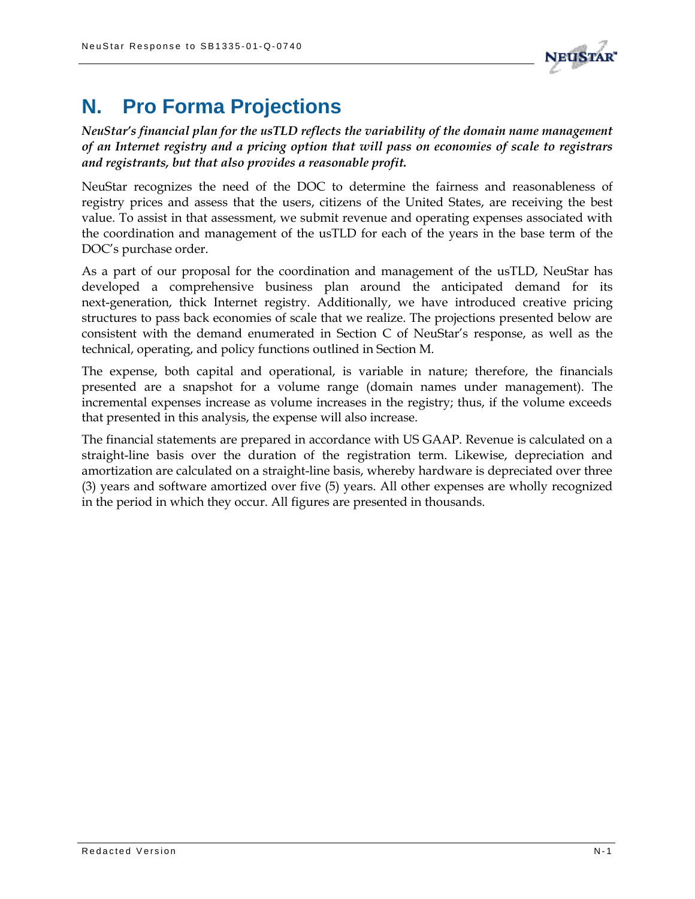

## **N. Pro Forma Projections**

*NeuStar's financial plan for the usTLD reflects the variability of the domain name management of an Internet registry and a pricing option that will pass on economies of scale to registrars and registrants, but that also provides a reasonable profit.*

NeuStar recognizes the need of the DOC to determine the fairness and reasonableness of registry prices and assess that the users, citizens of the United States, are receiving the best value. To assist in that assessment, we submit revenue and operating expenses associated with the coordination and management of the usTLD for each of the years in the base term of the DOC's purchase order.

As a part of our proposal for the coordination and management of the usTLD, NeuStar has developed a comprehensive business plan around the anticipated demand for its next-generation, thick Internet registry. Additionally, we have introduced creative pricing structures to pass back economies of scale that we realize. The projections presented below are consistent with the demand enumerated in Section C of NeuStar's response, as well as the technical, operating, and policy functions outlined in Section M.

The expense, both capital and operational, is variable in nature; therefore, the financials presented are a snapshot for a volume range (domain names under management). The incremental expenses increase as volume increases in the registry; thus, if the volume exceeds that presented in this analysis, the expense will also increase.

The financial statements are prepared in accordance with US GAAP. Revenue is calculated on a straight-line basis over the duration of the registration term. Likewise, depreciation and amortization are calculated on a straight-line basis, whereby hardware is depreciated over three (3) years and software amortized over five (5) years. All other expenses are wholly recognized in the period in which they occur. All figures are presented in thousands.